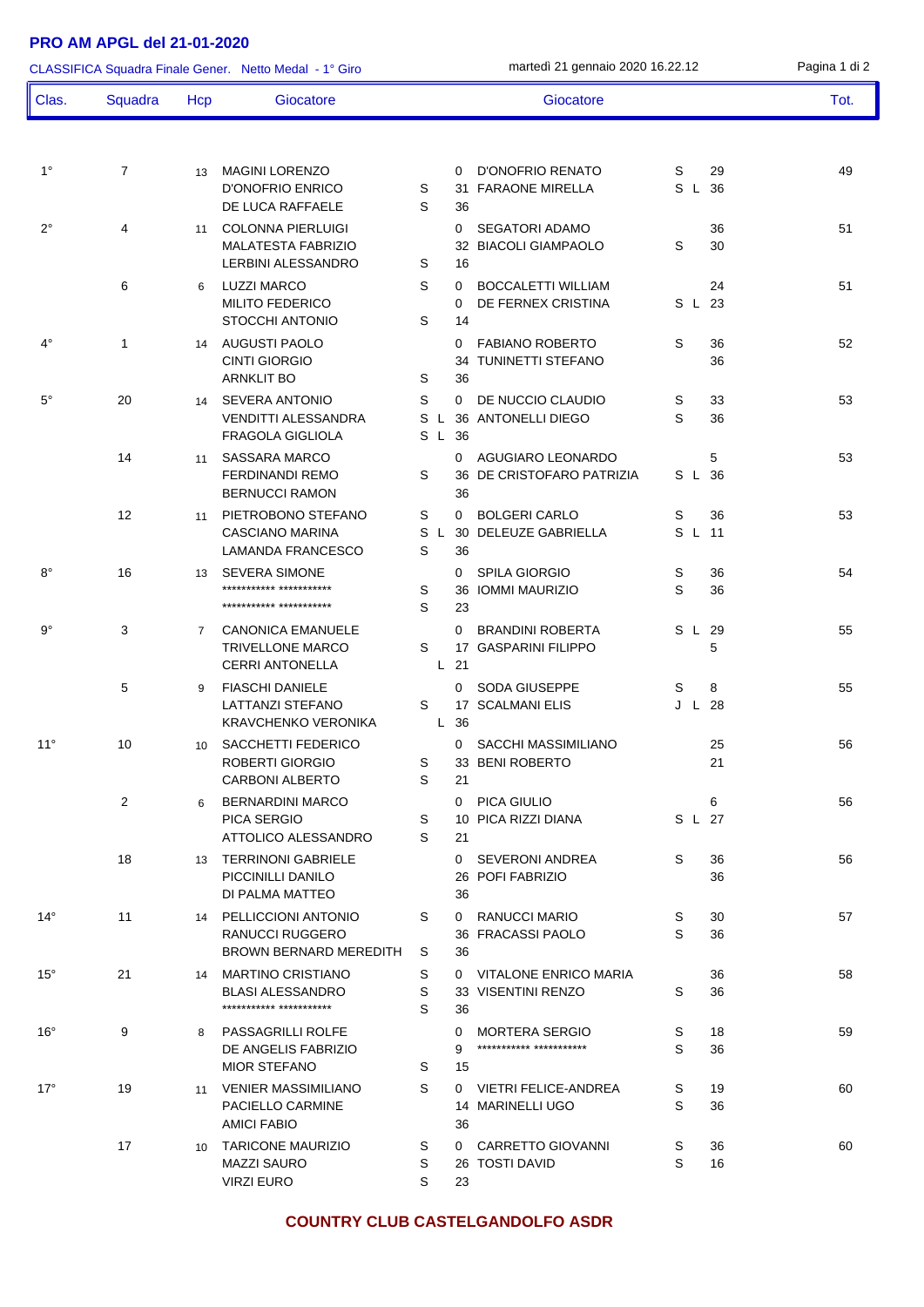## **PRO AM APGL del 21-01-2020**

1° 7 13 MAGINI LORENZO 0 D'ONOFRIO RENATO S 29 49 D'ONOFRIO ENRICO S 31 FARAONE MIRELLA S L 36 DE LUCA RAFFAELE S 36 2°  $\begin{array}{ccc} 4 & 11 & \text{COLONNA PIERLUIGI} \\ 11 & 01 & 01 & 01 \\ 0 & 01 & 01 & 01 \\ \end{array}$ MALATESTA FABRIZIO 32 BIACOLI GIAMPAOLO S 30 LERBINI ALESSANDRO S 16 6 6 LUZZI MARCO S 0 BOCCALETTI WILLIAM 24 51 MILITO FEDERICO **0 DE FERNEX CRISTINA** S L 23 STOCCHI ANTONIO S 14 4° 1 14 AUGUSTI PAOLO 0 FABIANO ROBERTO S 36 52 CINTI GIORGIO 34 TUNINETTI STEFANO 36 ARNKLIT BO S 36 5° 20 14 SEVERA ANTONIO S 0 DE NUCCIO CLAUDIO S 33 53 VENDITTI ALESSANDRA S L 36 ANTONELLI DIEGO S 36 FRAGOLA GIGLIOLA S L 36 14 11 SASSARA MARCO 10 AGUGIARO LEONARDO 5 53 53 FERDINANDI REMO S 36 DE CRISTOFARO PATRIZIA S L 36 BERNUCCI RAMON 36 12 11 PIFTROBONO STEFANO S 0 BOLGERI CARLO S 36 53 CASCIANO MARINA S L 30 DELEUZE GABRIELLA S L 11 LAMANDA FRANCESCO S 36 8° 16 13 SEVERA SIMONE 0 SPILA GIORGIO S 36 54 \*\*\*\*\*\*\*\*\*\*\* \*\*\*\*\*\*\*\*\*\*\* S 36 IOMMI MAURIZIO S 36 \*\*\*\*\*\*\*\*\*\*\* \*\*\*\*\*\*\*\*\*\*\* S 23 9° 3 7 CANONICA EMANUELE 0 BRANDINI ROBERTA S L 29 55 TRIVELLONE MARCO S 17 GASPARINI FILIPPO 5 CERRI ANTONELLA L 21 5 9 FIASCHI DANIELE 0 SODA GIUSEPPE S 8 55 LATTANZI STEFANO S 17 SCALMANI ELIS J L 28 KRAVCHENKO VERONIKA L 36 11° 10 10 SACCHETTI FEDERICO 0 SACCHI MASSIMILIANO 25 56 ROBERTI GIORGIO S 33 BENI ROBERTO 21 CARBONI ALBERTO S 21 2 6 BERNARDINI MARCO 0 PICA GIULIO 6 56 PICA SERGIO S 10 PICA RIZZI DIANA S L 27 ATTOLICO ALESSANDRO S 21 18 13 TERRINONI GABRIELE 0 SEVERONI ANDREA S 36 56 PICCINILLI DANILO 26 POFI FABRIZIO 36 DI PALMA MATTEO 36 14° 11 14 PELLICCIONI ANTONIO S 0 RANUCCI MARIO S 30 57 RANUCCI RUGGERO 36 FRACASSI PAOLO S 36 BROWN BERNARD MEREDITH S 36 15° 21 14 MARTINO CRISTIANO S 0 VITALONE ENRICO MARIA 36 58 BLASI ALESSANDRO S 33 VISENTINI RENZO S 36 \*\*\*\*\*\*\*\*\*\*\* \*\*\*\*\*\*\*\*\*\*\* S 36 16° 9 8 PASSAGRILLI ROLFE 0 MORTERA SERGIO S 18 59 DE ANGELIS FABRIZIO 9 \*\*\*\*\*\*\*\*\*\*\* \*\*\*\*\*\*\*\*\*\*\* S 36 MIOR STEFANO S 15 17° 19 11 VENIER MASSIMILIANO S 0 VIETRI FELICE-ANDREA S 19 60 PACIELLO CARMINE 14 MARINELLI UGO S 36 AMICI FABIO 36 17 10 TARICONE MAURIZIO S 0 CARRETTO GIOVANNI S 36 60 MAZZI SAURO S 26 TOSTI DAVID S 16 CLASSIFICA Squadra Finale Gener. Netto Medal - 1° Giro martedì 21 gennaio 2020 16.22.12 Pagina 1 di 2 Clas. Squadra Hcp Giocatore Giocatore Tot.

## **COUNTRY CLUB CASTELGANDOLFO ASDR**

VIRZI EURO S 23